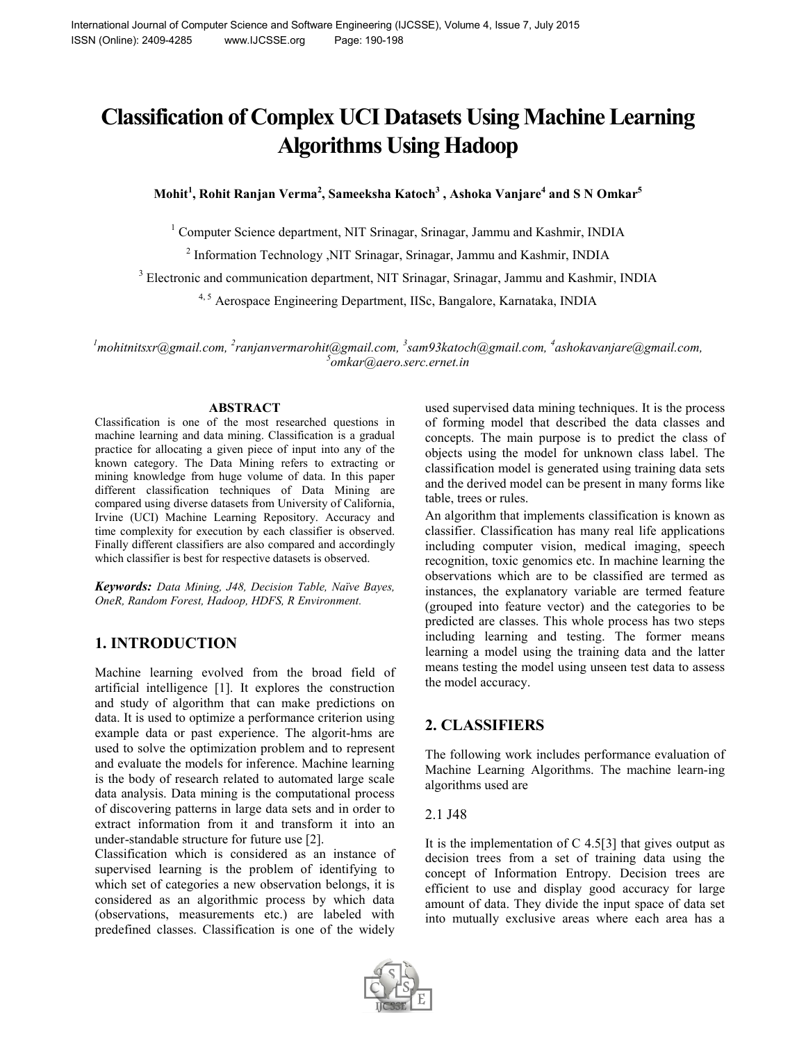# **Classification of Complex UCI Datasets Using Machine Learning Algorithms Using Hadoop**

**Mohit<sup>1</sup> , Rohit Ranjan Verma<sup>2</sup> , Sameeksha Katoch3 , Ashoka Vanjare<sup>4</sup> and S N Omkar<sup>5</sup>**

<sup>1</sup> Computer Science department, NIT Srinagar, Srinagar, Jammu and Kashmir, INDIA

<sup>2</sup> Information Technology ,NIT Srinagar, Srinagar, Jammu and Kashmir, INDIA

<sup>3</sup> Electronic and communication department, NIT Srinagar, Srinagar, Jammu and Kashmir, INDIA

<sup>4, 5</sup> Aerospace Engineering Department, IISc, Bangalore, Karnataka, INDIA

*1 mohitnitsxr@gmail.com, <sup>2</sup> ranjanvermarohit@gmail.com, <sup>3</sup> sam93katoch@gmail.com, <sup>4</sup> ashokavanjare@gmail.com, 5 omkar@aero.serc.ernet.in*

#### **ABSTRACT**

Classification is one of the most researched questions in machine learning and data mining. Classification is a gradual practice for allocating a given piece of input into any of the known category. The Data Mining refers to extracting or mining knowledge from huge volume of data. In this paper different classification techniques of Data Mining are compared using diverse datasets from University of California, Irvine (UCI) Machine Learning Repository. Accuracy and time complexity for execution by each classifier is observed. Finally different classifiers are also compared and accordingly which classifier is best for respective datasets is observed.

*Keywords: Data Mining, J48, Decision Table, Naïve Bayes, OneR, Random Forest, Hadoop, HDFS, R Environment.*

# **1. INTRODUCTION**

Machine learning evolved from the broad field of artificial intelligence [1]. It explores the construction and study of algorithm that can make predictions on data. It is used to optimize a performance criterion using example data or past experience. The algorit-hms are used to solve the optimization problem and to represent and evaluate the models for inference. Machine learning is the body of research related to automated large scale data analysis. Data mining is the computational process of discovering patterns in large data sets and in order to extract information from it and transform it into an under-standable structure for future use [2].

Classification which is considered as an instance of supervised learning is the problem of identifying to which set of categories a new observation belongs, it is considered as an algorithmic process by which data (observations, measurements etc.) are labeled with predefined classes. Classification is one of the widely

used supervised data mining techniques. It is the process of forming model that described the data classes and concepts. The main purpose is to predict the class of objects using the model for unknown class label. The classification model is generated using training data sets and the derived model can be present in many forms like table, trees or rules.

An algorithm that implements classification is known as classifier. Classification has many real life applications including computer vision, medical imaging, speech recognition, toxic genomics etc. In machine learning the observations which are to be classified are termed as instances, the explanatory variable are termed feature (grouped into feature vector) and the categories to be predicted are classes. This whole process has two steps including learning and testing. The former means learning a model using the training data and the latter means testing the model using unseen test data to assess the model accuracy.

# **2. CLASSIFIERS**

The following work includes performance evaluation of Machine Learning Algorithms. The machine learn-ing algorithms used are

#### 2.1 J48

It is the implementation of  $C$  4.5[3] that gives output as decision trees from a set of training data using the concept of Information Entropy. Decision trees are efficient to use and display good accuracy for large amount of data. They divide the input space of data set into mutually exclusive areas where each area has a

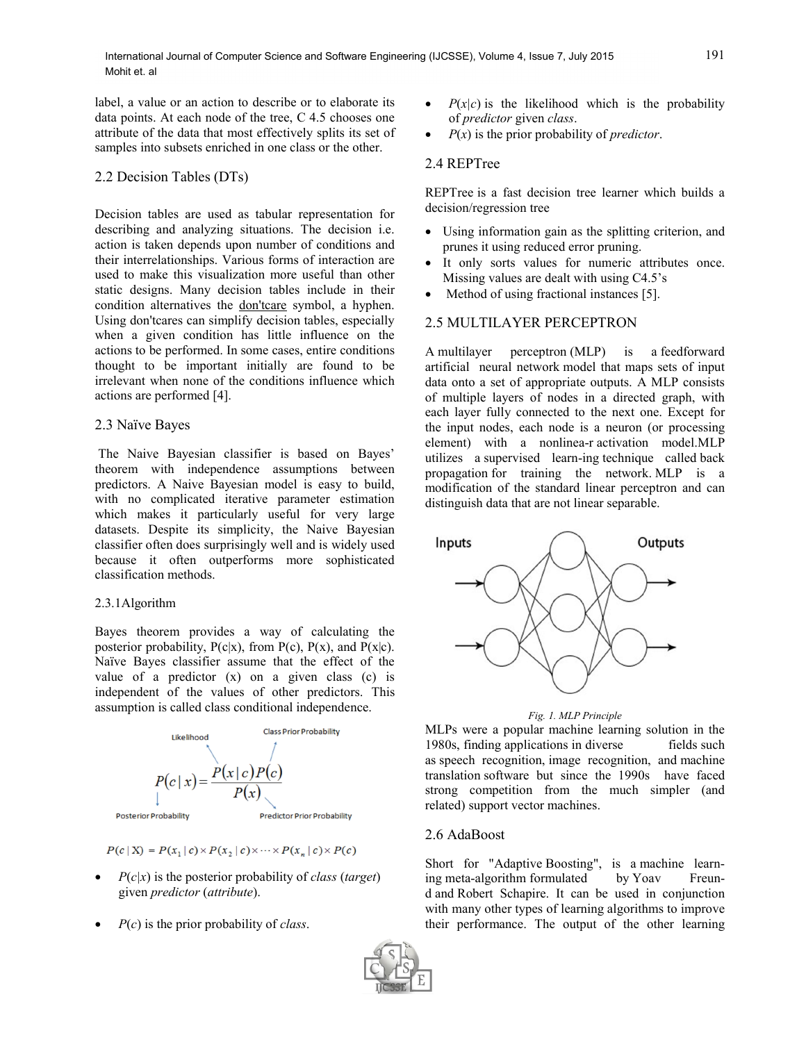label, a value or an action to describe or to elaborate its data points. At each node of the tree, C 4.5 chooses one attribute of the data that most effectively splits its set of samples into subsets enriched in one class or the other.

#### 2.2 Decision Tables (DTs)

Decision tables are used as tabular representation for describing and analyzing situations. The decision i.e. action is taken depends upon number of conditions and their interrelationships. Various forms of interaction are used to make this visualization more useful than other static designs. Many decision tables include in their condition alternatives the [don'tcare](http://en.wikipedia.org/wiki/Don%27t-care_term) symbol, a hyphen. Using don'tcares can simplify decision tables, especially when a given condition has little influence on the actions to be performed. In some cases, entire conditions thought to be important initially are found to be irrelevant when none of the conditions influence which actions are performed [4].

#### 2.3 Naïve Bayes

The Naive Bayesian classifier is based on Bayes' theorem with independence assumptions between predictors. A Naive Bayesian model is easy to build, with no complicated iterative parameter estimation which makes it particularly useful for very large datasets. Despite its simplicity, the Naive Bayesian classifier often does surprisingly well and is widely used because it often outperforms more sophisticated classification methods.

#### 2.3.1Algorithm

Bayes theorem provides a way of calculating the posterior probability,  $P(c|x)$ , from  $P(c)$ ,  $P(x)$ , and  $P(x|c)$ . Naïve Bayes classifier assume that the effect of the value of a predictor  $(x)$  on a given class  $(c)$  is independent of the values of other predictors. This assumption is called class conditional independence.



 $P(c | X) = P(x_1 | c) \times P(x_2 | c) \times \cdots \times P(x_n | c) \times P(c)$ 

- $P(c|x)$  is the posterior probability of *class* (*target*) given *predictor* (*attribute*).
- *P*(*c*) is the prior probability of *class*.
- $P(x|c)$  is the likelihood which is the probability of *predictor* given *class*.
- *P*(*x*) is the prior probability of *predictor*.

#### 2.4 REPTree

REPTree is a fast decision tree learner which builds a decision/regression tree

- Using information gain as the splitting criterion, and prunes it using reduced error pruning.
- It only sorts values for numeric attributes once. Missing values are dealt with using C4.5's
- Method of using fractional instances [5].

#### 2.5 MULTILAYER PERCEPTRON

A multilayer perceptron (MLP) is a feedforward artificial neural network model that maps sets of input data onto a set of appropriate outputs. A MLP consists of multiple layers of nodes in a directed graph, with each layer fully connected to the next one. Except for the input nodes, each node is a neuron (or processing element) with a nonlinea-r activation model.MLP utilizes a supervised learn-ing technique called back propagation for training the network. MLP is a modification of the standard linear perceptron and can distinguish data that are not linear separable.





MLPs were a popular machine learning solution in the 1980s, finding applications in diverse fields such as speech recognition, image recognition, and machine translation software but since the 1990s have faced strong competition from the much simpler (and related) support vector machines.

#### 2.6 AdaBoost

Short for "Adaptive Boosting", is a machine learning meta-algorithm formulated by Yoav Freund and Robert Schapire. It can be used in conjunction with many other types of learning algorithms to improve their performance. The output of the other learning

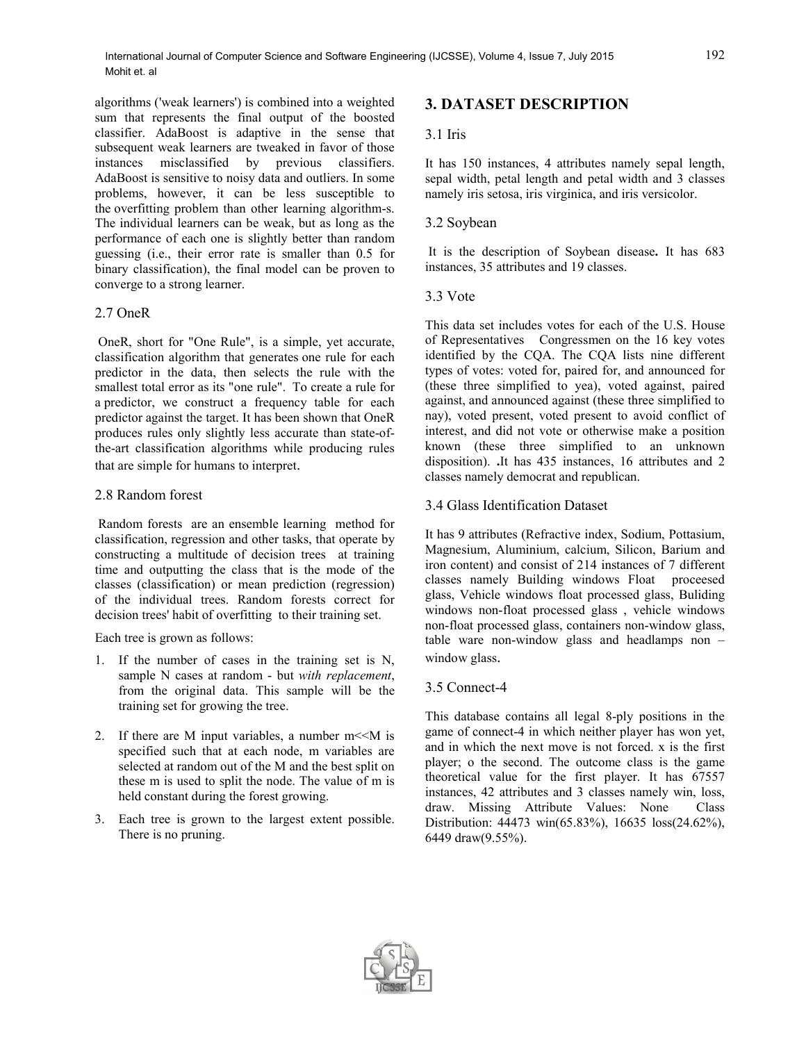algorithms ('weak learners') is combined into a weighted sum that represents the final output of the boosted classifier. AdaBoost is adaptive in the sense that subsequent weak learners are tweaked in favor of those instances misclassified by previous classifiers. AdaBoost is sensitive to noisy data and outliers. In some problems, however, it can be less susceptible to the overfitting problem than other learning algorithm-s. The individual learners can be weak, but as long as the performance of each one is slightly better than random guessing (i.e., their error rate is smaller than 0.5 for binary classification), the final model can be proven to converge to a strong learner.

#### 2.7 OneR

OneR, short for "One Rule", is a simple, yet accurate, classification algorithm that generates one rule for each predictor in the data, then selects the rule with the smallest total error as its "one rule". To create a rule for a predictor, we construct a frequency table for each predictor against the target. It has been shown that OneR produces rules only slightly less accurate than state-ofthe-art classification algorithms while producing rules that are simple for humans to interpret.

#### 2.8 Random forest

Random forests are an ensemble learning method for classification, regression and other tasks, that operate by constructing a multitude of decision trees at training time and outputting the class that is the mode of the classes (classification) or mean prediction (regression) of the individual trees. Random forests correct for decision trees' habit of overfitting to their training set.

Each tree is grown as follows:

- 1. If the number of cases in the training set is N, sample N cases at random - but *with replacement*, from the original data. This sample will be the training set for growing the tree.
- 2. If there are M input variables, a number  $m < M$  is specified such that at each node, m variables are selected at random out of the M and the best split on these m is used to split the node. The value of m is held constant during the forest growing.
- 3. Each tree is grown to the largest extent possible. There is no pruning.

# **3. DATASET DESCRIPTION**

# 3.1 Iris

It has 150 instances, 4 attributes namely sepal length, sepal width, petal length and petal width and 3 classes namely iris setosa, iris virginica, and iris versicolor.

## 3.2 Soybean

It is the description of Soybean disease**.** It has 683 instances, 35 attributes and 19 classes.

## 3.3 Vote

This data set includes votes for each of the U.S. House of Representatives Congressmen on the 16 key votes identified by the CQA. The CQA lists nine different types of votes: voted for, paired for, and announced for (these three simplified to yea), voted against, paired against, and announced against (these three simplified to nay), voted present, voted present to avoid conflict of interest, and did not vote or otherwise make a position known (these three simplified to an unknown disposition). **.**It has 435 instances, 16 attributes and 2 classes namely democrat and republican.

3.4 Glass Identification Dataset

It has 9 attributes (Refractive index, Sodium, Pottasium, Magnesium, Aluminium, calcium, Silicon, Barium and iron content) and consist of 214 instances of 7 different classes namely Building windows Float proceesed glass, Vehicle windows float processed glass, Buliding windows non-float processed glass , vehicle windows non-float processed glass, containers non-window glass, table ware non-window glass and headlamps non – window glass.

# 3.5 Connect-4

This database contains all legal 8-ply positions in the game of connect-4 in which neither player has won yet, and in which the next move is not forced. x is the first player; o the second. The outcome class is the game theoretical value for the first player. It has 67557 instances, 42 attributes and 3 classes namely win, loss, draw. Missing Attribute Values: None Class Distribution: 44473 win(65.83%), 16635 loss(24.62%), 6449 draw(9.55%).

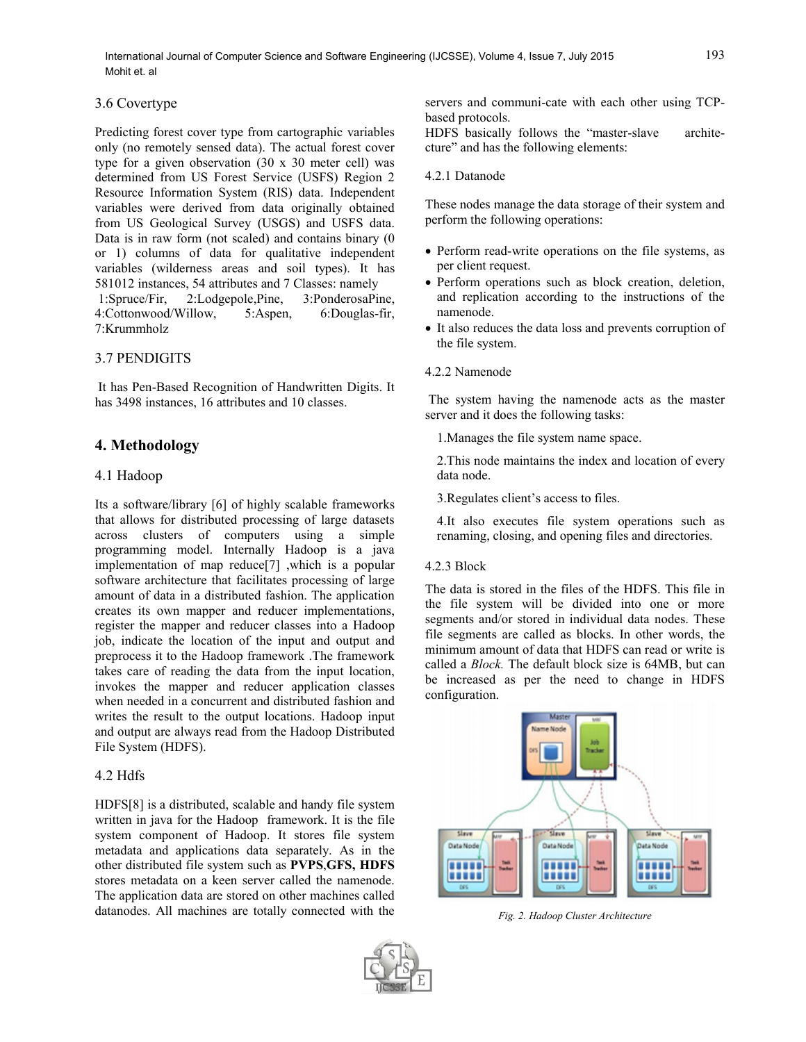#### 3.6 Covertype

Predicting forest cover type from cartographic variables only (no remotely sensed data). The actual forest cover type for a given observation (30 x 30 meter cell) was determined from US Forest Service (USFS) Region 2 Resource Information System (RIS) data. Independent variables were derived from data originally obtained from US Geological Survey (USGS) and USFS data. Data is in raw form (not scaled) and contains binary (0 or 1) columns of data for qualitative independent variables (wilderness areas and soil types). It has 581012 instances, 54 attributes and 7 Classes: namely 1:Spruce/Fir, 2:Lodgepole,Pine, 3:PonderosaPine, 4:Cottonwood/Willow, 5:Aspen, 6:Douglas-fir, 7:Krummholz

# 3.7 PENDIGITS

It has Pen-Based Recognition of Handwritten Digits. It has 3498 instances, 16 attributes and 10 classes.

# **4. Methodology**

#### 4.1 Hadoop

Its a software/library [6] of highly scalable frameworks that allows for distributed processing of large datasets across clusters of computers using a simple programming model. Internally Hadoop is a java implementation of map reduce[7] ,which is a popular software architecture that facilitates processing of large amount of data in a distributed fashion. The application creates its own mapper and reducer implementations, register the mapper and reducer classes into a Hadoop job, indicate the location of the input and output and preprocess it to the Hadoop framework .The framework takes care of reading the data from the input location, invokes the mapper and reducer application classes when needed in a concurrent and distributed fashion and writes the result to the output locations. Hadoop input and output are always read from the Hadoop Distributed File System (HDFS).

#### 4.2 Hdfs

HDFS[8] is a distributed, scalable and handy file system written in java for the Hadoop framework. It is the file system component of Hadoop. It stores file system metadata and applications data separately. As in the other distributed file system such as **PVPS**,**GFS, HDFS**  stores metadata on a keen server called the namenode. The application data are stored on other machines called datanodes. All machines are totally connected with the

servers and communi-cate with each other using TCPbased protocols.

HDFS basically follows the "master-slave architecture" and has the following elements:

#### 4.2.1 Datanode

These nodes manage the data storage of their system and perform the following operations:

- Perform read-write operations on the file systems, as per client request.
- Perform operations such as block creation, deletion, and replication according to the instructions of the namenode.
- It also reduces the data loss and prevents corruption of the file system.
- 4.2.2 Namenode

The system having the namenode acts as the master server and it does the following tasks:

1.Manages the file system name space.

2.This node maintains the index and location of every data node.

3.Regulates client's access to files.

4.It also executes file system operations such as renaming, closing, and opening files and directories.

#### 4.2.3 Block

The data is stored in the files of the HDFS. This file in the file system will be divided into one or more segments and/or stored in individual data nodes. These file segments are called as blocks. In other words, the minimum amount of data that HDFS can read or write is called a *Block.* The default block size is 64MB, but can be increased as per the need to change in HDFS configuration.



*Fig. 2. Hadoop Cluster Architecture*

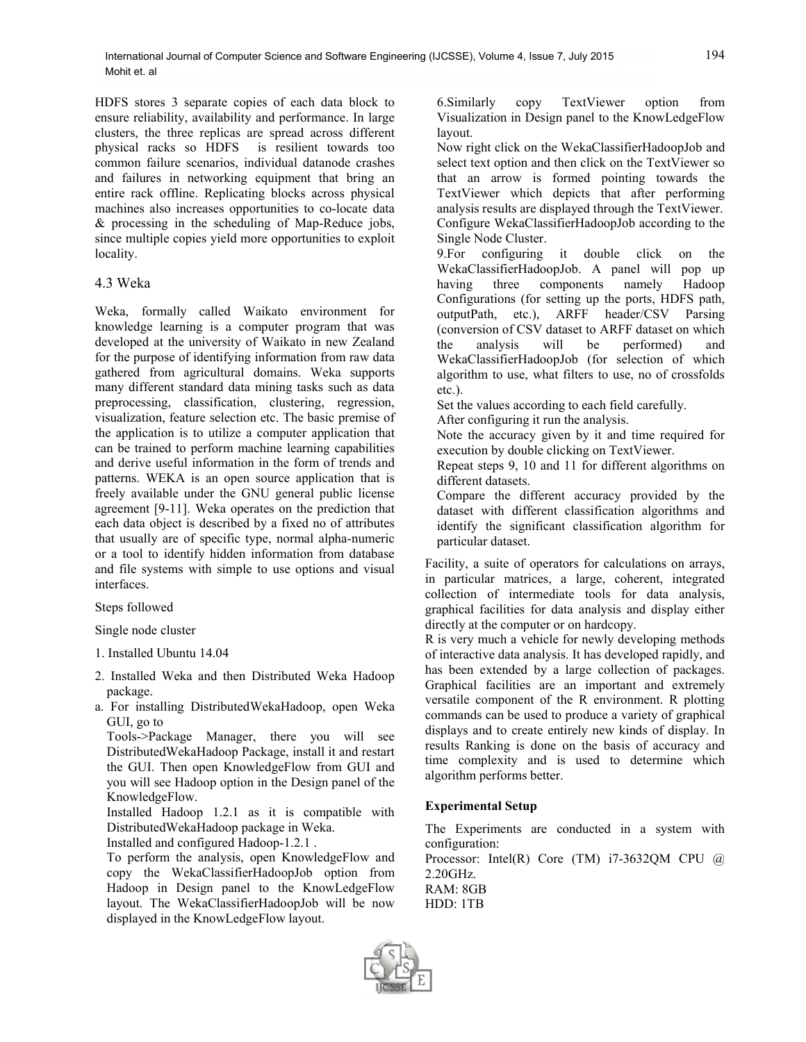HDFS stores 3 separate copies of each data block to ensure reliability, availability and performance. In large clusters, the three replicas are spread across different is resilient towards too common failure scenarios, individual datanode crashes and failures in networking equipment that bring an entire rack offline. Replicating blocks across physical machines also increases opportunities to co-locate data & processing in the scheduling of Map-Reduce jobs, since multiple copies yield more opportunities to exploit locality.

## 4.3 Weka

Weka, formally called Waikato environment for knowledge learning is a computer program that was developed at the university of Waikato in new Zealand for the purpose of identifying information from raw data gathered from agricultural domains. Weka supports many different standard data mining tasks such as data preprocessing, classification, clustering, regression, visualization, feature selection etc. The basic premise of the application is to utilize a computer application that can be trained to perform machine learning capabilities and derive useful information in the form of trends and patterns. WEKA is an open source application that is freely available under the GNU general public license agreement [9-11]. Weka operates on the prediction that each data object is described by a fixed no of attributes that usually are of specific type, normal alpha-numeric or a tool to identify hidden information from database and file systems with simple to use options and visual interfaces.

#### Steps followed

Single node cluster

- 1. Installed Ubuntu 14.04
- 2. Installed Weka and then Distributed Weka Hadoop package.
- a. For installing DistributedWekaHadoop, open Weka GUI, go to

Tools->Package Manager, there you will see DistributedWekaHadoop Package, install it and restart the GUI. Then open KnowledgeFlow from GUI and you will see Hadoop option in the Design panel of the KnowledgeFlow.

Installed Hadoop 1.2.1 as it is compatible with DistributedWekaHadoop package in Weka.

Installed and configured Hadoop-1.2.1 .

To perform the analysis, open KnowledgeFlow and copy the WekaClassifierHadoopJob option from Hadoop in Design panel to the KnowLedgeFlow layout. The WekaClassifierHadoopJob will be now displayed in the KnowLedgeFlow layout.

6.Similarly copy TextViewer option from Visualization in Design panel to the KnowLedgeFlow layout.

Now right click on the WekaClassifierHadoopJob and select text option and then click on the TextViewer so that an arrow is formed pointing towards the TextViewer which depicts that after performing analysis results are displayed through the TextViewer. Configure WekaClassifierHadoopJob according to the Single Node Cluster.

9.For configuring it double click on the WekaClassifierHadoopJob. A panel will pop up having three components namely Hadoop Configurations (for setting up the ports, HDFS path, outputPath, etc.), ARFF header/CSV Parsing (conversion of CSV dataset to ARFF dataset on which the analysis will be performed) and WekaClassifierHadoopJob (for selection of which algorithm to use, what filters to use, no of crossfolds etc.).

Set the values according to each field carefully.

After configuring it run the analysis.

Note the accuracy given by it and time required for execution by double clicking on TextViewer.

Repeat steps 9, 10 and 11 for different algorithms on different datasets.

Compare the different accuracy provided by the dataset with different classification algorithms and identify the significant classification algorithm for particular dataset.

Facility, a suite of operators for calculations on arrays, in particular matrices, a large, coherent, integrated collection of intermediate tools for data analysis, graphical facilities for data analysis and display either directly at the computer or on hardcopy.

R is very much a vehicle for newly developing methods of interactive data analysis. It has developed rapidly, and has been extended by a large collection of packages. Graphical facilities are an important and extremely versatile component of the R environment. R plotting commands can be used to produce a variety of graphical displays and to create entirely new kinds of display. In results Ranking is done on the basis of accuracy and time complexity and is used to determine which algorithm performs better.

#### **Experimental Setup**

The Experiments are conducted in a system with configuration:

Processor: Intel(R) Core (TM)  $i7-3632QM$  CPU  $@$ 2.20GHz. RAM: 8GB

HDD: 1TB

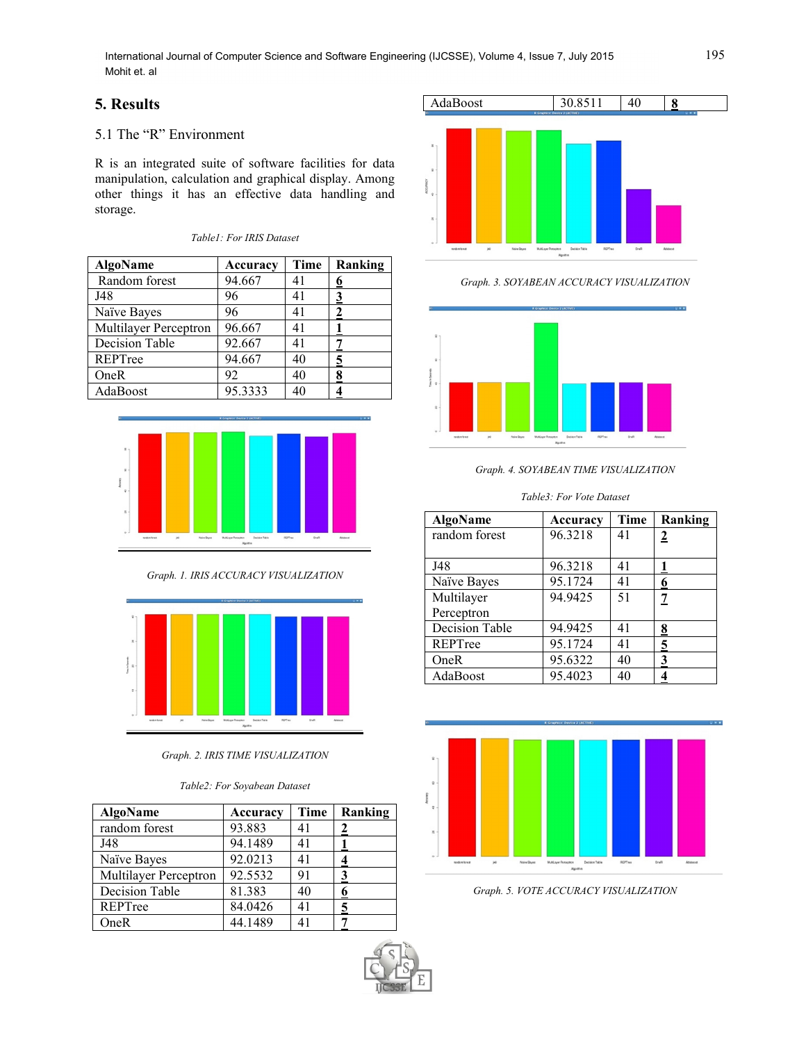# **5. Results**

# 5.1 The "R" Environment

R is an integrated suite of software facilities for data manipulation, calculation and graphical display. Among other things it has an effective data handling and storage.

*Table1: For IRIS Dataset*

| <b>AlgoName</b>       | Accuracy | Time | Ranking |
|-----------------------|----------|------|---------|
| Random forest         | 94.667   | 41   | 6       |
| J48                   | 96       | 41   |         |
| Naïve Bayes           | 96       | 41   |         |
| Multilayer Perceptron | 96.667   | 41   |         |
| Decision Table        | 92.667   | 41   |         |
| REPTree               | 94.667   | 40   | 5       |
| OneR                  | 92       | 40   | 8       |
| AdaBoost              | 95.3333  | 40   |         |



*Graph. 1. IRIS ACCURACY VISUALIZATION*



*Graph. 2. IRIS TIME VISUALIZATION*

#### *Table2: For Soyabean Dataset*

| <b>AlgoName</b>              | Accuracy | Time | Ranking |
|------------------------------|----------|------|---------|
| random forest                | 93.883   | 41   |         |
| J48                          | 94.1489  | 41   |         |
| Naïve Bayes                  | 92.0213  | 41   |         |
| <b>Multilayer Perceptron</b> | 92.5532  | 91   |         |
| <b>Decision Table</b>        | 81.383   | 40   |         |
| REPTree                      | 84.0426  | 41   |         |
| OneR                         | 44.1489  | 41   |         |



*Graph. 3. SOYABEAN ACCURACY VISUALIZATION*



*Graph. 4. SOYABEAN TIME VISUALIZATION*

*Table3: For Vote Dataset*

| <b>AlgoName</b> | Accuracy | Time | Ranking        |
|-----------------|----------|------|----------------|
| random forest   | 96.3218  | 41   | $\overline{2}$ |
| J48             | 96.3218  | 41   |                |
| Naïve Bayes     | 95.1724  | 41   | 6              |
| Multilayer      | 94.9425  | 51   | 7              |
| Perceptron      |          |      |                |
| Decision Table  | 94.9425  | 41   | 8              |
| REPTree         | 95.1724  | 41   | 5              |
| OneR            | 95.6322  | 40   | 3              |
| AdaBoost        | 95.4023  | 40   |                |



*Graph. 5. VOTE ACCURACY VISUALIZATION*



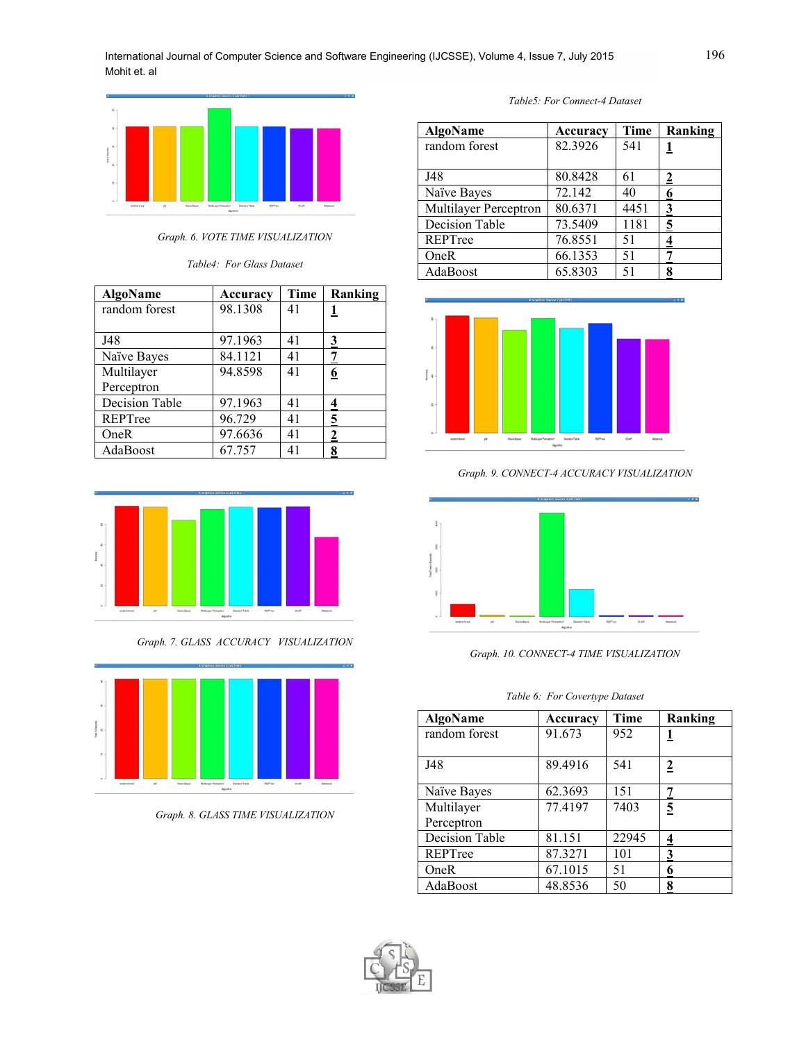

*Graph. 6. VOTE TIME VISUALIZATION*

*Table4: For Glass Dataset*

| <b>AlgoName</b> | Accuracy | Time | Ranking  |
|-----------------|----------|------|----------|
| random forest   | 98.1308  | 41   |          |
| J48             | 97.1963  | 41   | 3        |
| Naïve Bayes     | 84.1121  | 41   |          |
| Multilayer      | 94.8598  | 41   | <u>6</u> |
| Perceptron      |          |      |          |
| Decision Table  | 97.1963  | 41   |          |
| REPTree         | 96.729   | 41   | 5        |
| OneR            | 97.6636  | 41   | 2        |
| AdaBoost        | 67.757   | 41   |          |



*Graph. 7. GLASS ACCURACY VISUALIZATION*



*Graph. 8. GLASS TIME VISUALIZATION*

| Table5: For Connect-4 Dataset |
|-------------------------------|
|-------------------------------|

| <b>AlgoName</b>              | Accuracy | Time | Ranking |
|------------------------------|----------|------|---------|
| random forest                | 82.3926  | 541  |         |
| J48                          | 80.8428  | 61   |         |
| Naïve Bayes                  | 72.142   | 40   |         |
| <b>Multilayer Perceptron</b> | 80.6371  | 4451 | 3       |
| <b>Decision Table</b>        | 73.5409  | 1181 | 5       |
| REPTree                      | 76.8551  | 51   |         |
| OneR                         | 66.1353  | 51   |         |
| AdaBoost                     | 65.8303  | 51   | о       |



*Graph. 9. CONNECT-4 ACCURACY VISUALIZATION*



*Graph. 10. CONNECT-4 TIME VISUALIZATION*

*Table 6: For Covertype Dataset*

| <b>AlgoName</b>          | Accuracy | Time  | Ranking        |
|--------------------------|----------|-------|----------------|
| random forest            | 91.673   | 952   |                |
| J48                      | 89.4916  | 541   | $\overline{2}$ |
| Naïve Bayes              | 62.3693  | 151   | 7              |
| Multilayer<br>Perceptron | 77.4197  | 7403  | $\overline{5}$ |
| <b>Decision Table</b>    | 81.151   | 22945 | 4              |
| REPTree                  | 87.3271  | 101   | 3              |
| OneR                     | 67.1015  | 51    | 6              |
| AdaBoost                 | 48.8536  | 50    | 8              |

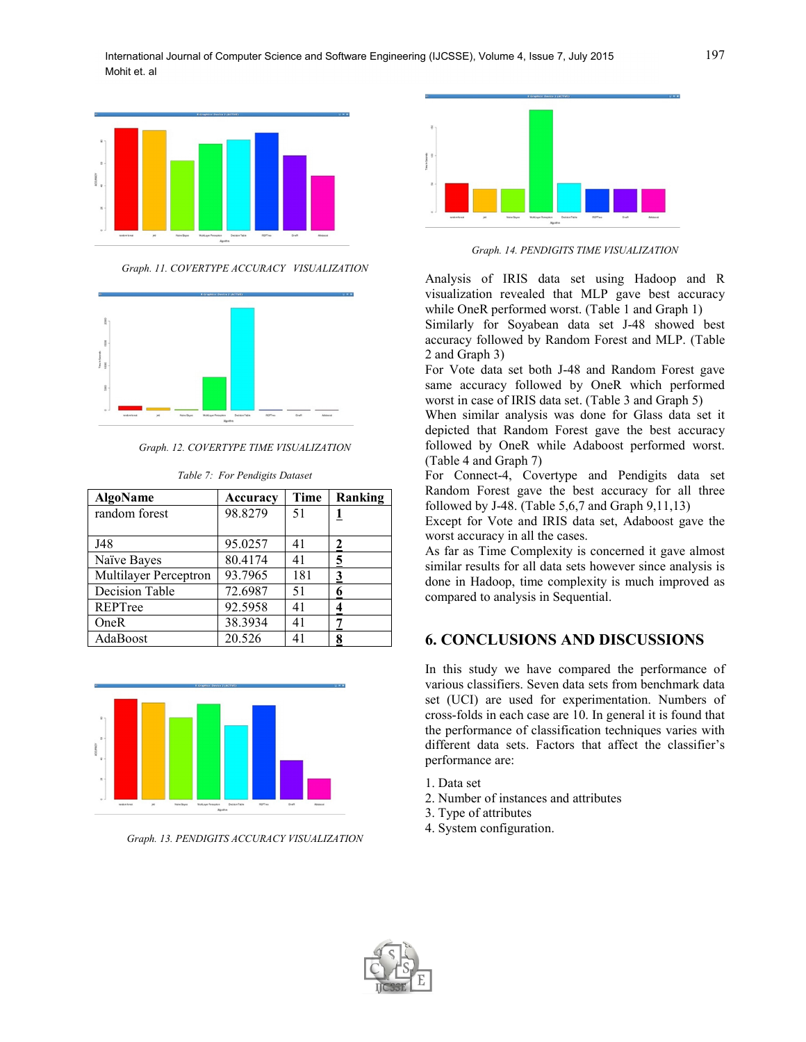

*Graph. 11. COVERTYPE ACCURACY VISUALIZATION*



*Graph. 12. COVERTYPE TIME VISUALIZATION*

*Table 7: For Pendigits Dataset*

| <b>AlgoName</b>       | Accuracy | Time | Ranking |
|-----------------------|----------|------|---------|
| random forest         | 98.8279  | 51   |         |
| J48                   | 95.0257  | 41   | 2       |
| Naïve Bayes           | 80.4174  | 41   | 5       |
| Multilayer Perceptron | 93.7965  | 181  | 3       |
| <b>Decision Table</b> | 72.6987  | 51   |         |
| REPTree               | 92.5958  | 41   |         |
| OneR                  | 38.3934  | 41   |         |
| AdaBoost              | 20.526   | 41   |         |



*Graph. 13. PENDIGITS ACCURACY VISUALIZATION*



*Graph. 14. PENDIGITS TIME VISUALIZATION*

Analysis of IRIS data set using Hadoop and R visualization revealed that MLP gave best accuracy while OneR performed worst. (Table 1 and Graph 1)

Similarly for Soyabean data set J-48 showed best accuracy followed by Random Forest and MLP. (Table 2 and Graph 3)

For Vote data set both J-48 and Random Forest gave same accuracy followed by OneR which performed worst in case of IRIS data set. (Table 3 and Graph 5)

When similar analysis was done for Glass data set it depicted that Random Forest gave the best accuracy followed by OneR while Adaboost performed worst. (Table 4 and Graph 7)

For Connect-4, Covertype and Pendigits data set Random Forest gave the best accuracy for all three followed by J-48. (Table 5,6,7 and Graph 9,11,13)

Except for Vote and IRIS data set, Adaboost gave the worst accuracy in all the cases.

As far as Time Complexity is concerned it gave almost similar results for all data sets however since analysis is done in Hadoop, time complexity is much improved as compared to analysis in Sequential.

# **6. CONCLUSIONS AND DISCUSSIONS**

In this study we have compared the performance of various classifiers. Seven data sets from benchmark data set (UCI) are used for experimentation. Numbers of cross-folds in each case are 10. In general it is found that the performance of classification techniques varies with different data sets. Factors that affect the classifier's performance are:

- 1. Data set
- 2. Number of instances and attributes
- 3. Type of attributes
- 4. System configuration.